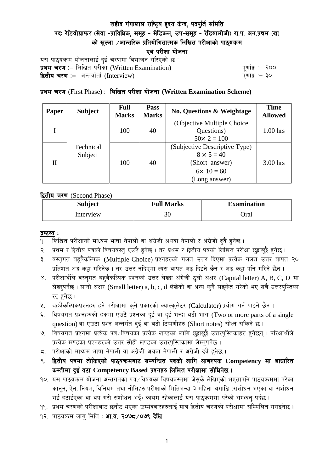# शहीद गंगालाल राष्ट्रिय हृदय केन्द, पदपुर्ति समिति पदः रेडियोग्राफर (सेवा -प्राविधिक, समूह - मेडिकल, उप-समूह - रेडियालोजी) रा.प. अन.प्रथम (ख) को खल्ला  $\angle$ आन्तरिक प्रतियोगितात्मक लिखित परीक्षाको पाठयक्रम एवं परीक्षा योजना

यस पाठ्यक्रम योजनालाई दुई चरणमा विभाजन गरिएको छ : प्रथम चरण :- लिखित परीक्षा (Written Examination)  $\frac{d}{dx}$  and  $\frac{d}{dx}$  and  $\frac{d}{dx}$  are  $\frac{d}{dx}$ द्वितीय चरण :– अन्तर्वार्ता (Interview) katalactic metal metal metal metal wind wind with  $\frac{1}{2}$ 

# प्रथम चरण (First Phase) : लिखित परीक्षा योजना (Written Examination Scheme)

| Paper | <b>Subject</b>       | <b>Full</b><br><b>Marks</b> | Pass<br><b>Marks</b> | <b>No. Questions &amp; Weightage</b> | <b>Time</b><br><b>Allowed</b> |
|-------|----------------------|-----------------------------|----------------------|--------------------------------------|-------------------------------|
|       |                      |                             |                      | (Objective Multiple Choice)          |                               |
|       |                      | 100                         | 40                   | Questions)                           | $1.00$ hrs                    |
|       | Technical<br>Subject |                             |                      | $50 \times 2 = 100$                  |                               |
| H     |                      | 100                         | 40                   | (Subjective Descriptive Type)        |                               |
|       |                      |                             |                      | $8 \times 5 = 40$                    |                               |
|       |                      |                             |                      | (Short answer)                       | $3.00$ hrs                    |
|       |                      |                             |                      | $6 \times 10 = 60$                   |                               |
|       |                      |                             |                      | (Long answer)                        |                               |

द्वितीय चरण (Second Phase)

| <b>Subject</b> | <b>Full Marks</b> | <b>Examination</b> |  |
|----------------|-------------------|--------------------|--|
| Interview      | 30                | Oral               |  |

#### द्रष्टव्य :

- १. लिखित परीक्षाको माध्यम भाषा नेपाली वा अंग्रेजी अथवा नेपाली र अंग्रेजी द्वै हुनेछ ।
- २. प्रथम र द्वितीय पत्रको विषयवस्तु एउटै हुनेछ । तर प्रथम र द्वितीय पत्रको लिखित परीक्षा छुट्टाछुट्टै हुनेछ ।
- ३. वस्तुगत बहुवैकल्पिक (Multiple Choice) प्रश्नहरुको गलत उत्तर दिएमा प्रत्येक गलत उत्तर बापत २० प्रतिशत अङ्ग कट्टा गरिनेछ । तर उत्तर नदिएमा त्यस बापत अङ्ग दिइने छैन र अङ्ग कट्टा पनि गरिने छैन ।
- ४. परीक्षार्थीले वस्तुगत बहुवैकल्पिक प्रश्नको उत्तर लेख्दा अंग्रेजी ठूलो अक्षर (Capital letter) A, B, C, D मा लेख्नुपर्नेछ । सानो अक्षर (Small letter) a, b, c, d लेखेको वा अन्य कुनै सड्केत गरेको भए सबै उत्तरपुस्तिका रद्द हनेछ ।
- ५. वहवैकल्पिकप्रश्नहरु हुने परीक्षामा कुनै प्रकारको क्याल्कुलेटर (Calculator) प्रयोग गर्न पाइने छैन ।
- ६. विषयगत प्रश्नहरुको हकमा एउटै प्रश्नका दुई वा दुई भन्दा बढी भाग (Two or more parts of a single question) वा एउटा प्रश्न अन्तर्गत दुई वा बढी टिप्पणीहरु (Short notes) सोध्न सकिने छ।
- ७. विषयगत प्रश्नमा प्रत्येक पत्र ∕विषयका प्रत्येक खण्डका लागि छट्टाछट्टै उत्तरपस्तिकाहरु हुनेछन् । परिक्षार्थीले प्रत्येक खण्डका प्रश्नहरुको उत्तर सोही खण्डका उत्तरपस्तिकामा लेख्नपर्नेछ ।
- $\,$ द. परीक्षाको माध्यम भाषा नेपाली वा अंग्रेजी अथवा नेपाली र अंग्रेजी द्वै हुनेछ ।
- ९. द्वितीय पत्रमा तोकिएको पाठ्यक्रमबाट सम्बन्धित पदको लागि आवश्यक Competency मा आधारित कम्तीमा दई वटा Competency Based प्रश्नहरु लिखित परीक्षामा सोधिनेछ।
- १०. यस पाठ्यक्रम योजना अन्तर्गतका पत्र ∕विषयका विषयवस्त्**मा जेस्**कै लेखिएको भएतापनि पाठ्यक्रममा परेका कानून, ऐन, नियम, विनियम तथा नीतिहरु परीक्षाको मितिभन्दा ३ महिना अगाडि (संशोधन भएका वा संशोधन भई हटाईएका वा थप गरी संशोधन भई) कायम रहेकालाई यस पाठकममा परेको सम्भन्न पर्दछ ।
- ११. प्रथम चरणको परीक्षाबाट छनौट भएका उम्मेदवारहरुलाई मात्र द्वितीय चरणको परीक्षामा सम्मिलित गराइनेछ ।
- १२. पाठ्यक्रम लाग मिति : **आ.व. २०७८ /०७९ देखि**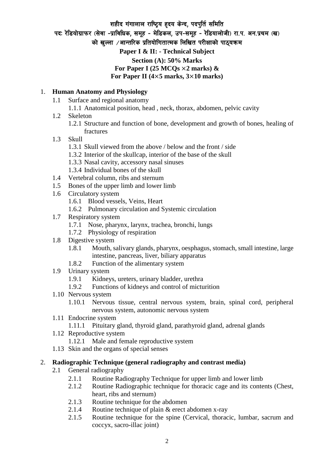# शहीद गंगालाल राष्ट्रिय हृदय केन्द, पदपुर्ति समिति पदः रेडियोग्राफर (सेवा -प्राविधिक, समूह - मेडिकल, उप-समूह - रेडियालोजी) रा.प. अन.प्रथम (ख) को खल्ला  $\ell$ आन्तरिक प्रतियोगितात्मक लिखित परीक्षाको पाठयक्रम **Paper I & II: - Technical Subject Section (A): 50% Marks** For Paper I (25  $MCOs \times 2$  marks)  $\&$ **For Paper II (4**×**5 marks, 3**×**10 marks)**

### 1. **Human Anatomy and Physiology**

- 1.1 Surface and regional anatomy
	- 1.1.1 Anatomical position, head , neck, thorax, abdomen, pelvic cavity
- 1.2 Skeleton
	- 1.2.1 Structure and function of bone, development and growth of bones, healing of fractures
- 1.3 Skull
	- 1.3.1 Skull viewed from the above / below and the front / side
	- 1.3.2 Interior of the skullcap, interior of the base of the skull
	- 1.3.3 Nasal cavity, accessory nasal sinuses
	- 1.3.4 Individual bones of the skull
- 1.4 Vertebral column, ribs and sternum
- 1.5 Bones of the upper limb and lower limb
- 1.6 Circulatory system
	- 1.6.1 Blood vessels, Veins, Heart
	- 1.6.2 Pulmonary circulation and Systemic circulation
- 1.7 Respiratory system
	- 1.7.1 Nose, pharynx, larynx, trachea, bronchi, lungs
	- 1.7.2 Physiology of respiration
- 1.8 Digestive system
	- 1.8.1 Mouth, salivary glands, pharynx, oesphagus, stomach, small intestine, large intestine, pancreas, liver, biliary apparatus
	- 1.8.2 Function of the alimentary system
- 1.9 Urinary system
	- 1.9.1 Kidneys, ureters, urinary bladder, urethra
	- 1.9.2 Functions of kidneys and control of micturition
- 1.10 Nervous system
	- 1.10.1 Nervous tissue, central nervous system, brain, spinal cord, peripheral nervous system, autonomic nervous system
- 1.11 Endocrine system
	- 1.11.1 Pituitary gland, thyroid gland, parathyroid gland, adrenal glands
- 1.12 Reproductive system
	- 1.12.1 Male and female reproductive system
- 1.13 Skin and the organs of special senses

#### 2. **Radiographic Technique (general radiography and contrast media)**

- 2.1 General radiography
	- 2.1.1 Routine Radiography Technique for upper limb and lower limb
	- 2.1.2 Routine Radiographic technique for thoracic cage and its contents (Chest, heart, ribs and sternum)
	- 2.1.3 Routine technique for the abdomen
	- 2.1.4 Routine technique of plain & erect abdomen x-ray
	- 2.1.5 Routine technique for the spine (Cervical, thoracic, lumbar, sacrum and coccyx, sacro-illac joint)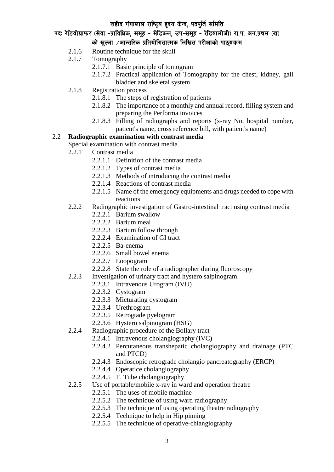# पदः रेडियोग्राफर (सेवा -प्राविधिक, समूह - मेडिकल, उप-समूह - रेडियालोजी) रा.प. अन.प्रथम (ख) को खल्ला  $\angle$ आन्तरिक प्रतियोगितात्मक लिखित परीक्षाको पाठयक्रम

- 2.1.6 Routine technique for the skull
- 2.1.7 Tomography
	- 2.1.7.1 Basic principle of tomogram
	- 2.1.7.2 Practical application of Tomography for the chest, kidney, gall bladder and skeletal system
- 2.1.8 Registration process
	- 2.1.8.1 The steps of registration of patients
	- 2.1.8.2 The importance of a monthly and annual record, filling system and preparing the Performa invoices
	- 2.1.8.3 Filling of radiographs and reports (x-ray No, hospital number, patient's name, cross reference bill, with patient's name)

# 2.2 **Radiographic examination with contrast media**

Special examination with contrast media

- 2.2.1 Contrast media
	- 2.2.1.1 Definition of the contrast media
	- 2.2.1.2 Types of contrast media
	- 2.2.1.3 Methods of introducing the contrast media
	- 2.2.1.4 Reactions of contrast media
	- 2.2.1.5 Name of the emergency equipments and drugs needed to cope with reactions
- 2.2.2 Radiographic investigation of Gastro-intestinal tract using contrast media
	- 2.2.2.1 Barium swallow
	- 2.2.2.2 Barium meal
	- 2.2.2.3 Barium follow through
	- 2.2.2.4 Examination of GI tract
	- 2.2.2.5 Ba-enema
	- 2.2.2.6 Small bowel enema
	- 2.2.2.7 Loopogram
	- 2.2.2.8 State the role of a radiographer during fluoroscopy
- 2.2.3 Investigation of urinary tract and hystero salpinogram
	- 2.2.3.1 Intravenous Urogram (IVU)
	- 2.2.3.2 Cystogram
	- 2.2.3.3 Micturating cystogram
	- 2.2.3.4 Urethrogram
	- 2.2.3.5 Retrogtade pyelogram
	- 2.2.3.6 Hystero salpinogram (HSG)
- 2.2.4 Radiographic procedure of the Bollary tract
	- 2.2.4.1 Intravenous cholangiography (IVC)
	- 2.2.4.2 Percutaneous transhepatic cholangiography and drainage (PTC and PTCD)
	- 2.2.4.3 Endoscopic retrograde cholangio pancreatography (ERCP)
	- 2.2.4.4 Operatice cholangiography
	- 2.2.4.5 T. Tube cholangiography
- 2.2.5 Use of portable/mobile x-ray in ward and operation theatre
	- 2.2.5.1 The uses of mobile machine
	- 2.2.5.2 The technique of using ward radiography
	- 2.2.5.3 The technique of using operating theatre radiography
	- 2.2.5.4 Technique to help in Hip pinning
	- 2.2.5.5 The technique of operative-chlangiography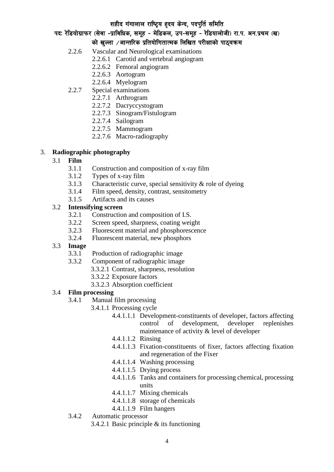### पदः रेडियोग्राफर (सेवा -प्राविधिक, समूह - मेडिकल, उप-समूह - रेडियालोजी) रा.प. अन.प्रथम (ख) को खल्ला  $\vee$ आन्तरिक प्रतियोगितात्मक लिखित परीक्षाको पाठयक्रम

- 2.2.6 Vascular and Neurological examinations
	- 2.2.6.1 Carotid and vertebral angiogram
	- 2.2.6.2 Femoral angiogram
	- 2.2.6.3 Aortogram
	- 2.2.6.4 Myelogram
- 2.2.7 Special examinations
	- 2.2.7.1 Arthrogram
	- 2.2.7.2 Dacryccystogram
	- 2.2.7.3 Sinogram/Fistulogram
	- 2.2.7.4 Sailogram
	- 2.2.7.5 Mammogram
	- 2.2.7.6 Macro-radiography

### 3. **Radiographic photography**

### 3.1 **Film**

- 3.1.1 Construction and composition of x-ray film
- 3.1.2 Types of x-ray film
- 3.1.3 Characteristic curve, special sensitivity & role of dyeing
- 3.1.4 Film speed, density, contrast, sensitometry
- 3.1.5 Artifacts and its causes

# 3.2 **Intensifying screen**

- 3.2.1 Construction and composition of I.S.
- 3.2.2 Screen speed, sharpness, coating weight
- 3.2.3 Fluorescent material and phosphorescence
- 3.2.4 Fluorescent material, new phosphors

#### 3.3 **Image**

- 3.3.1 Production of radiographic image
- 3.3.2 Component of radiographic image
	- 3.3.2.1 Contrast, sharpness, resolution
	- 3.3.2.2 Exposure factors
	- 3.3.2.3 Absorption coefficient

#### 3.4 **Film processing**

- 3.4.1 Manual film processing
	- 3.4.1.1 Processing cycle
		- 4.4.1.1.1 Development-constituents of developer, factors affecting control of development, developer replenishes maintenance of activity & level of developer
		- 4.4.1.1.2 Rinsing
		- 4.4.1.1.3 Fixation-constituents of fixer, factors affecting fixation and regeneration of the Fixer
		- 4.4.1.1.4 Washing processing
		- 4.4.1.1.5 Drying process
		- 4.4.1.1.6 Tanks and containers for processing chemical, processing units
		- 4.4.1.1.7 Mixing chemicals
		- 4.4.1.1.8 storage of chemicals
		- 4.4.1.1.9 Film hangers
- 3.4.2 Automatic processor
	- 3.4.2.1 Basic principle & its functioning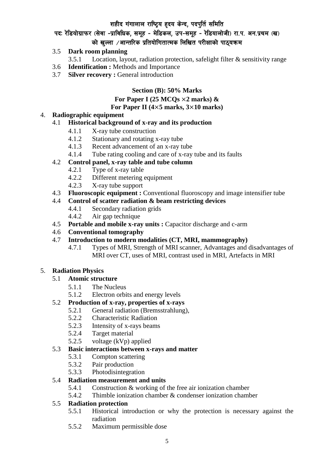# पदः रेडियोग्राफर (सेवा -प्राविधिक, समूह - मेडिकल, उप-समूह - रेडियालोजी) रा.प. अन.प्रथम (ख) को खल्ला  $\angle$ आन्तरिक प्रतियोगितात्मक लिखित परीक्षाको पाठयक्रम

#### 3.5 **Dark room planning**

- 3.5.1 Location, layout, radiation protection, safelight filter & sensitivity range
- 3.6 **Identification :** Methods and Importance
- 3.7 **Silver recovery :** General introduction

#### **Section (B): 50% Marks**

#### **For Paper I (25 MCQs** ×**2 marks) & For Paper II (4**×**5 marks, 3**×**10 marks)**

# 4. **Radiographic equipment**

### 4.1 **Historical background of x-ray and its production**

- 4.1.1 X-ray tube construction
- 4.1.2 Stationary and rotating x-ray tube
- 4.1.3 Recent advancement of an x-ray tube
- 4.1.4 Tube rating cooling and care of x-ray tube and its faults

### 4.2 **Control panel, x-ray table and tube column**

- 4.2.1 Type of x-ray table
- 4.2.2 Different metering equipment
- 4.2.3 X-ray tube support
- 4.3 **Fluoroscopic equipment :** Conventional fluoroscopy and image intensifier tube

### 4.4 **Control of scatter radiation & beam restricting devices**

- 4.4.1 Secondary radiation grids
- 4.4.2 Air gap technique
- 4.5 **Portable and mobile x-ray units :** Capacitor discharge and c-arm
- 4.6 **Conventional tomography**
- 4.7 **Introduction to modern modalities (CT, MRI, mammography)** 
	- 4.7.1 Types of MRI, Strength of MRI scanner, Advantages and disadvantages of MRI over CT, uses of MRI, contrast used in MRI, Artefacts in MRI

#### 5. **Radiation Physics**

#### 5.1 **Atomic structure**

- 5.1.1 The Nucleus
- 5.1.2 Electron orbits and energy levels

# 5.2 **Production of x-ray, properties of x-rays**

- 5.2.1 General radiation (Bremsstrahlung),
- 5.2.2 Characteristic Radiation
- 5.2.3 Intensity of x-rays beams
- 5.2.4 Target material
- 5.2.5 voltage (kVp) applied

#### 5.3 **Basic interactions between x-rays and matter**

- 5.3.1 Compton scattering
- 5.3.2 Pair production
- 5.3.3 Photodisintegration

#### 5.4 **Radiation measurement and units**

- 5.4.1 Construction & working of the free air ionization chamber
- 5.4.2 Thimble ionization chamber & condenser ionization chamber

#### 5.5 **Radiation protection**

- 5.5.1 Historical introduction or why the protection is necessary against the radiation
- 5.5.2 Maximum permissible dose